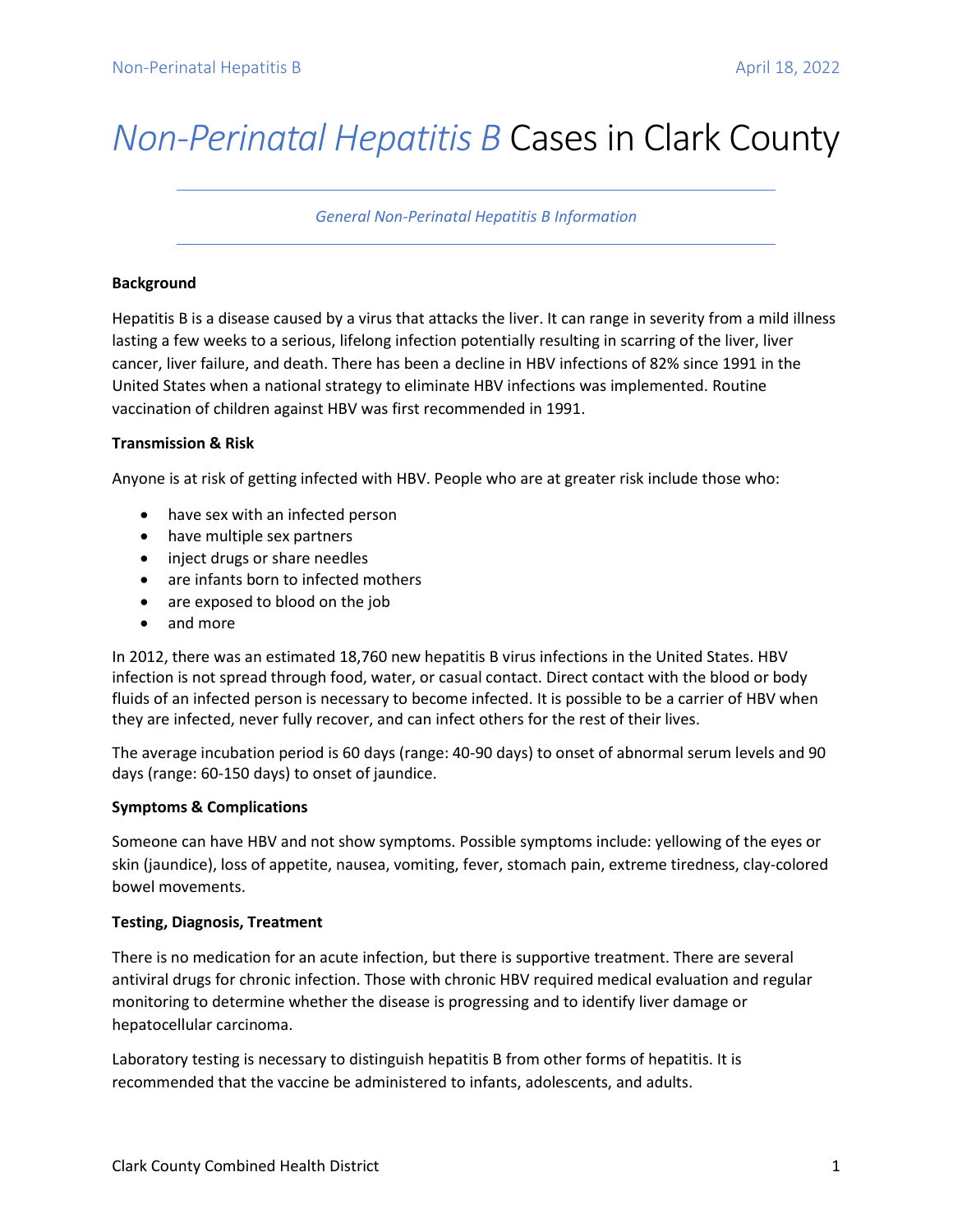# *Non-Perinatal Hepatitis B* Cases in Clark County

*General Non-Perinatal Hepatitis B Information*

### **Background**

Hepatitis B is a disease caused by a virus that attacks the liver. It can range in severity from a mild illness lasting a few weeks to a serious, lifelong infection potentially resulting in scarring of the liver, liver cancer, liver failure, and death. There has been a decline in HBV infections of 82% since 1991 in the United States when a national strategy to eliminate HBV infections was implemented. Routine vaccination of children against HBV was first recommended in 1991.

#### **Transmission & Risk**

Anyone is at risk of getting infected with HBV. People who are at greater risk include those who:

- have sex with an infected person
- have multiple sex partners
- inject drugs or share needles
- are infants born to infected mothers
- are exposed to blood on the job
- and more

In 2012, there was an estimated 18,760 new hepatitis B virus infections in the United States. HBV infection is not spread through food, water, or casual contact. Direct contact with the blood or body fluids of an infected person is necessary to become infected. It is possible to be a carrier of HBV when they are infected, never fully recover, and can infect others for the rest of their lives.

The average incubation period is 60 days (range: 40-90 days) to onset of abnormal serum levels and 90 days (range: 60-150 days) to onset of jaundice.

## **Symptoms & Complications**

Someone can have HBV and not show symptoms. Possible symptoms include: yellowing of the eyes or skin (jaundice), loss of appetite, nausea, vomiting, fever, stomach pain, extreme tiredness, clay-colored bowel movements.

## **Testing, Diagnosis, Treatment**

There is no medication for an acute infection, but there is supportive treatment. There are several antiviral drugs for chronic infection. Those with chronic HBV required medical evaluation and regular monitoring to determine whether the disease is progressing and to identify liver damage or hepatocellular carcinoma.

Laboratory testing is necessary to distinguish hepatitis B from other forms of hepatitis. It is recommended that the vaccine be administered to infants, adolescents, and adults.